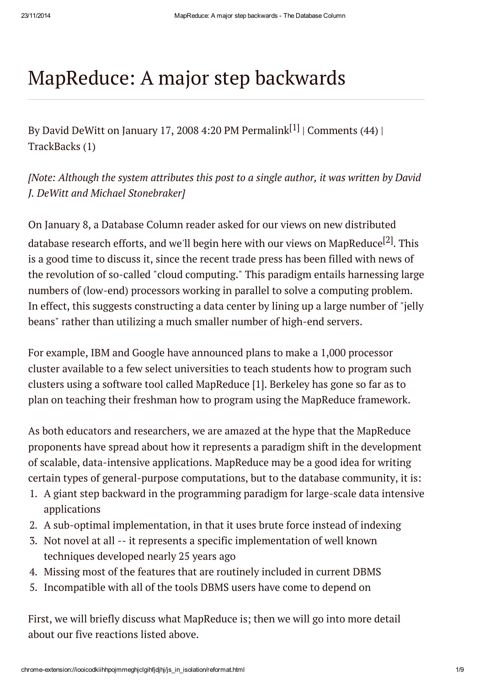# MapReduce: A major step backwards

By David DeWitt on January 17, 2008 4:20 PM [Permalink](http://databasecolumn.vertica.com/2008/01/mapreduce_a_major_step_back.html) $^{\lceil 1 \rceil}$  | [Comments](http://databasecolumn.vertica.com/2008/01/mapreduce_a_major_step_back.html#comments) (44) | [TrackBacks](http://databasecolumn.vertica.com/2008/01/mapreduce_a_major_step_back.html#trackback) (1)

*[Note: Although the system attributes this post to a single author, it was written by David J. DeWitt and Michael Stonebraker]*

On January 8, a Database Column reader asked for our views on new distributed database research efforts, and we'll begin here with our views on [MapReduce](http://en.wikipedia.org/wiki/MapReduce)<sup>[2]</sup>. This is a good time to discuss it, since the recent trade press has been filled with news of the revolution of so-called "cloud computing." This paradigm entails harnessing large numbers of (low-end) processors working in parallel to solve a computing problem. In effect, this suggests constructing a data center by lining up a large number of "jelly beans" rather than utilizing a much smaller number of high-end servers.

For example, IBM and Google have announced plans to make a 1,000 processor cluster available to a few select universities to teach students how to program such clusters using a software tool called MapReduce [1]. Berkeley has gone so far as to plan on teaching their freshman how to program using the MapReduce framework.

As both educators and researchers, we are amazed at the hype that the MapReduce proponents have spread about how it represents a paradigm shift in the development of scalable, data-intensive applications. MapReduce may be a good idea for writing certain types of general-purpose computations, but to the database community, it is:

- 1. A giant step backward in the programming paradigm for large-scale data intensive applications
- 2. A sub-optimal implementation, in that it uses brute force instead of indexing
- 3. Not novel at all -- it represents a specific implementation of well known techniques developed nearly 25 years ago
- 4. Missing most of the features that are routinely included in current DBMS
- 5. Incompatible with all of the tools DBMS users have come to depend on

First, we will briefly discuss what MapReduce is; then we will go into more detail about our five reactions listed above.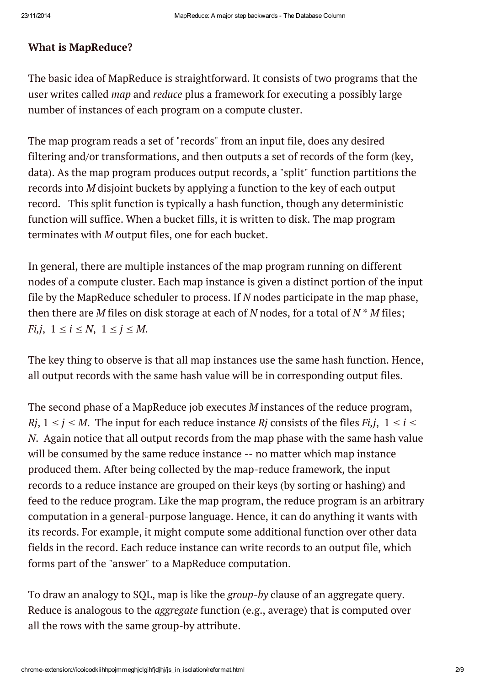#### What is MapReduce?

The basic idea of MapReduce is straightforward. It consists of two programs that the user writes called *map* and *reduce* plus a framework for executing a possibly large number of instances of each program on a compute cluster.

The map program reads a set of "records" from an input file, does any desired filtering and/or transformations, and then outputs a set of records of the form (key, data). As the map program produces output records, a "split" function partitions the records into *M* disjoint buckets by applying a function to the key of each output record. This split function is typically a hash function, though any deterministic function will suffice. When a bucket fills, it is written to disk. The map program terminates with *M* output files, one for each bucket.

In general, there are multiple instances of the map program running on different nodes of a compute cluster. Each map instance is given a distinct portion of the input file by the MapReduce scheduler to process. If *N* nodes participate in the map phase, then there are *M* files on disk storage at each of *N* nodes, for a total of *N* \* *M* files; *Fi,j*,  $1 \le i \le N$ ,  $1 \le j \le M$ .

The key thing to observe is that all map instances use the same hash function. Hence, all output records with the same hash value will be in corresponding output files.

The second phase of a MapReduce job executes *M* instances of the reduce program, *Ri*,  $1 \le j \le M$ . The input for each reduce instance *Rj* consists of the files *Fi*,*j*,  $1 \le i \le J$ *N*. Again notice that all output records from the map phase with the same hash value will be consumed by the same reduce instance -- no matter which map instance produced them. After being collected by the map-reduce framework, the input records to a reduce instance are grouped on their keys (by sorting or hashing) and feed to the reduce program. Like the map program, the reduce program is an arbitrary computation in a general-purpose language. Hence, it can do anything it wants with its records. For example, it might compute some additional function over other data fields in the record. Each reduce instance can write records to an output file, which forms part of the "answer" to a MapReduce computation.

To draw an analogy to SQL, map is like the *group-by* clause of an aggregate query. Reduce is analogous to the *aggregate* function (e.g., average) that is computed over all the rows with the same group-by attribute.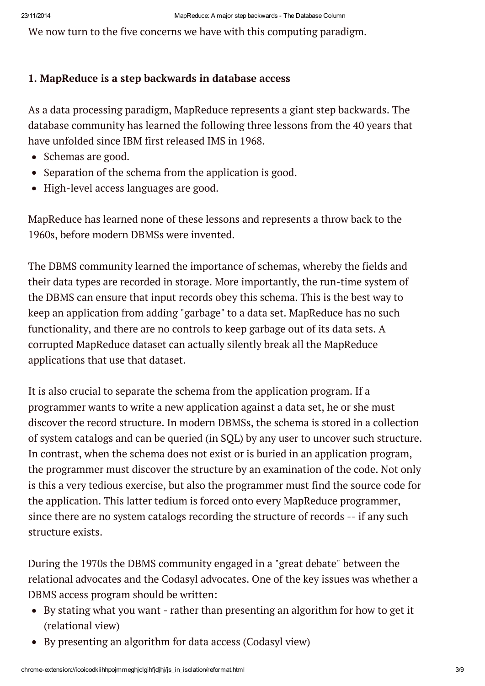We now turn to the five concerns we have with this computing paradigm.

#### 1. MapReduce is a step backwards in database access

As a data processing paradigm, MapReduce represents a giant step backwards. The database community has learned the following three lessons from the 40 years that have unfolded since IBM first released IMS in 1968.

- Schemas are good.
- Separation of the schema from the application is good.
- High-level access languages are good.

MapReduce has learned none of these lessons and represents a throw back to the 1960s, before modern DBMSs were invented.

The DBMS community learned the importance of schemas, whereby the fields and their data types are recorded in storage. More importantly, the run-time system of the DBMS can ensure that input records obey this schema. This is the best way to keep an application from adding "garbage" to a data set. MapReduce has no such functionality, and there are no controls to keep garbage out of its data sets. A corrupted MapReduce dataset can actually silently break all the MapReduce applications that use that dataset.

It is also crucial to separate the schema from the application program. If a programmer wants to write a new application against a data set, he or she must discover the record structure. In modern DBMSs, the schema is stored in a collection of system catalogs and can be queried (in SQL) by any user to uncover such structure. In contrast, when the schema does not exist or is buried in an application program, the programmer must discover the structure by an examination of the code. Not only is this a very tedious exercise, but also the programmer must find the source code for the application. This latter tedium is forced onto every MapReduce programmer, since there are no system catalogs recording the structure of records -- if any such structure exists.

During the 1970s the DBMS community engaged in a "great debate" between the relational advocates and the Codasyl advocates. One of the key issues was whether a DBMS access program should be written:

- By stating what you want rather than presenting an algorithm for how to get it (relational view)
- By presenting an algorithm for data access (Codasyl view)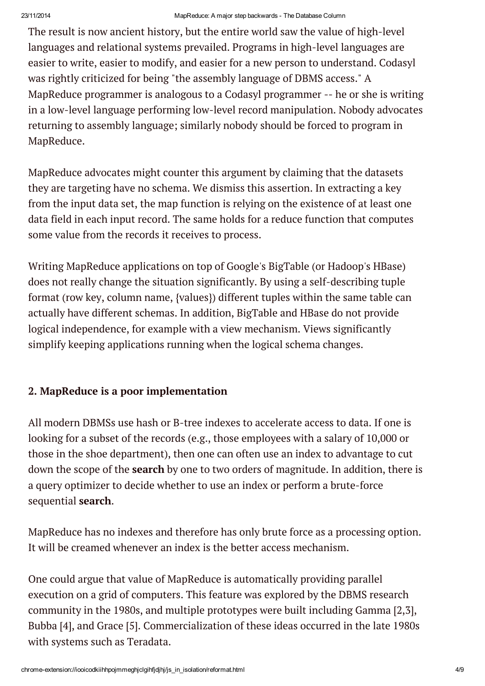The result is now ancient history, but the entire world saw the value of high-level languages and relational systems prevailed. Programs in high-level languages are easier to write, easier to modify, and easier for a new person to understand. Codasyl was rightly criticized for being "the assembly language of DBMS access." A MapReduce programmer is analogous to a Codasyl programmer -- he or she is writing in a low-level language performing low-level record manipulation. Nobody advocates returning to assembly language; similarly nobody should be forced to program in MapReduce.

MapReduce advocates might counter this argument by claiming that the datasets they are targeting have no schema. We dismiss this assertion. In extracting a key from the input data set, the map function is relying on the existence of at least one data field in each input record. The same holds for a reduce function that computes some value from the records it receives to process.

Writing MapReduce applications on top of Google's BigTable (or Hadoop's HBase) does not really change the situation significantly. By using a self-describing tuple format (row key, column name, {values}) different tuples within the same table can actually have different schemas. In addition, BigTable and HBase do not provide logical independence, for example with a view mechanism. Views significantly simplify keeping applications running when the logical schema changes.

## 2. MapReduce is a poor implementation

All modern DBMSs use hash or B-tree indexes to accelerate access to data. If one is looking for a subset of the records (e.g., those employees with a salary of 10,000 or those in the shoe department), then one can often use an index to advantage to cut down the scope of the search by one to two orders of magnitude. In addition, there is a query optimizer to decide whether to use an index or perform a brute-force sequential search.

MapReduce has no indexes and therefore has only brute force as a processing option. It will be creamed whenever an index is the better access mechanism.

One could argue that value of MapReduce is automatically providing parallel execution on a grid of computers. This feature was explored by the DBMS research community in the 1980s, and multiple prototypes were built including Gamma [2,3], Bubba [4], and Grace [5]. Commercialization of these ideas occurred in the late 1980s with systems such as Teradata.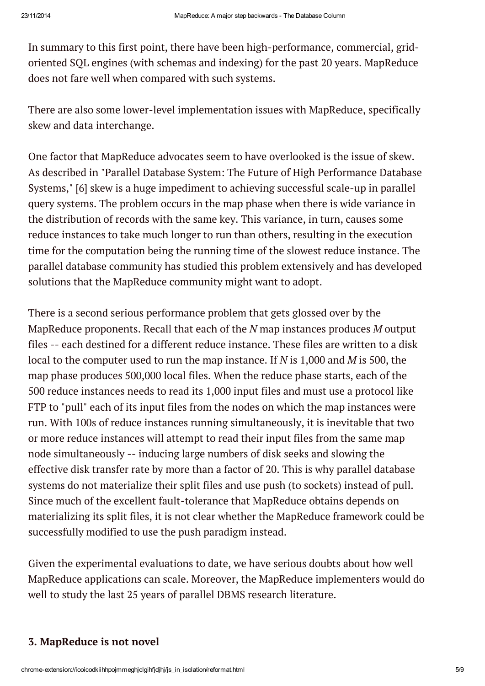In summary to this first point, there have been high-performance, commercial, gridoriented SQL engines (with schemas and indexing) for the past 20 years. MapReduce does not fare well when compared with such systems.

There are also some lower-level implementation issues with MapReduce, specifically skew and data interchange.

One factor that MapReduce advocates seem to have overlooked is the issue of skew. As described in "Parallel Database System: The Future of High Performance Database Systems," [6] skew is a huge impediment to achieving successful scale-up in parallel query systems. The problem occurs in the map phase when there is wide variance in the distribution of records with the same key. This variance, in turn, causes some reduce instances to take much longer to run than others, resulting in the execution time for the computation being the running time of the slowest reduce instance. The parallel database community has studied this problem extensively and has developed solutions that the MapReduce community might want to adopt.

There is a second serious performance problem that gets glossed over by the MapReduce proponents. Recall that each of the *N* map instances produces *M* output files -- each destined for a different reduce instance. These files are written to a disk local to the computer used to run the map instance. If *N* is 1,000 and *M* is 500, the map phase produces 500,000 local files. When the reduce phase starts, each of the 500 reduce instances needs to read its 1,000 input files and must use a protocol like FTP to "pull" each of its input files from the nodes on which the map instances were run. With 100s of reduce instances running simultaneously, it is inevitable that two or more reduce instances will attempt to read their input files from the same map node simultaneously -- inducing large numbers of disk seeks and slowing the effective disk transfer rate by more than a factor of 20. This is why parallel database systems do not materialize their split files and use push (to sockets) instead of pull. Since much of the excellent fault-tolerance that MapReduce obtains depends on materializing its split files, it is not clear whether the MapReduce framework could be successfully modified to use the push paradigm instead.

Given the experimental evaluations to date, we have serious doubts about how well MapReduce applications can scale. Moreover, the MapReduce implementers would do well to study the last 25 years of parallel DBMS research literature.

#### 3. MapReduce is not novel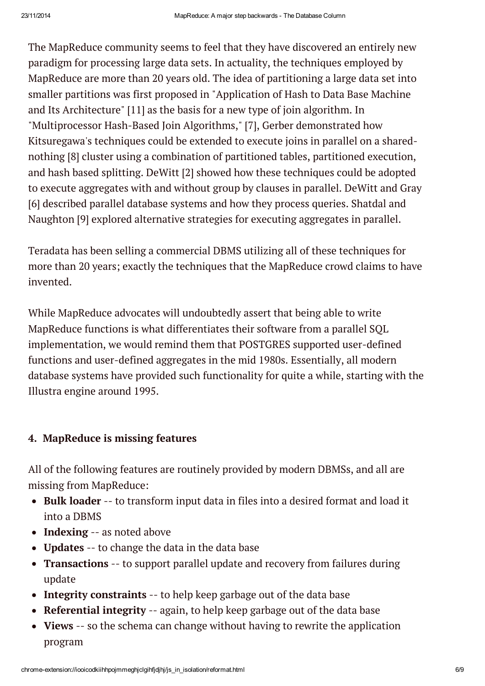The MapReduce community seems to feel that they have discovered an entirely new paradigm for processing large data sets. In actuality, the techniques employed by MapReduce are more than 20 years old. The idea of partitioning a large data set into smaller partitions was first proposed in "Application of Hash to Data Base Machine and Its Architecture" [11] as the basis for a new type of join algorithm. In "Multiprocessor Hash-Based Join Algorithms," [7], Gerber demonstrated how Kitsuregawa's techniques could be extended to execute joins in parallel on a sharednothing [8] cluster using a combination of partitioned tables, partitioned execution, and hash based splitting. DeWitt [2] showed how these techniques could be adopted to execute aggregates with and without group by clauses in parallel. DeWitt and Gray [6] described parallel database systems and how they process queries. Shatdal and Naughton [9] explored alternative strategies for executing aggregates in parallel.

Teradata has been selling a commercial DBMS utilizing all of these techniques for more than 20 years; exactly the techniques that the MapReduce crowd claims to have invented.

While MapReduce advocates will undoubtedly assert that being able to write MapReduce functions is what differentiates their software from a parallel SQL implementation, we would remind them that POSTGRES supported user-defined functions and user-defined aggregates in the mid 1980s. Essentially, all modern database systems have provided such functionality for quite a while, starting with the Illustra engine around 1995.

# 4. MapReduce is missing features

All of the following features are routinely provided by modern DBMSs, and all are missing from MapReduce:

- Bulk loader -- to transform input data in files into a desired format and load it into a DBMS
- Indexing -- as noted above
- Updates -- to change the data in the data base
- Transactions -- to support parallel update and recovery from failures during update
- Integrity constraints -- to help keep garbage out of the data base
- Referential integrity -- again, to help keep garbage out of the data base
- Views -- so the schema can change without having to rewrite the application program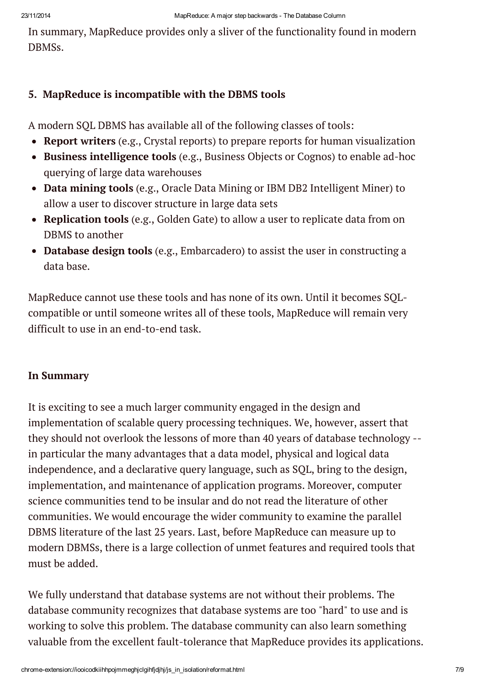In summary, MapReduce provides only a sliver of the functionality found in modern DBMSs.

### 5. MapReduce is incompatible with the DBMS tools

A modern SQL DBMS has available all of the following classes of tools:

- Report writers (e.g., Crystal reports) to prepare reports for human visualization
- Business intelligence tools (e.g., Business Objects or Cognos) to enable ad-hoc querying of large data warehouses
- Data mining tools (e.g., Oracle Data Mining or IBM DB2 Intelligent Miner) to allow a user to discover structure in large data sets
- Replication tools (e.g., Golden Gate) to allow a user to replicate data from on DBMS to another
- Database design tools (e.g., Embarcadero) to assist the user in constructing a data base.

MapReduce cannot use these tools and has none of its own. Until it becomes SQLcompatible or until someone writes all of these tools, MapReduce will remain very difficult to use in an end-to-end task.

#### In Summary

It is exciting to see a much larger community engaged in the design and implementation of scalable query processing techniques. We, however, assert that they should not overlook the lessons of more than 40 years of database technology - in particular the many advantages that a data model, physical and logical data independence, and a declarative query language, such as SQL, bring to the design, implementation, and maintenance of application programs. Moreover, computer science communities tend to be insular and do not read the literature of other communities. We would encourage the wider community to examine the parallel DBMS literature of the last 25 years. Last, before MapReduce can measure up to modern DBMSs, there is a large collection of unmet features and required tools that must be added.

We fully understand that database systems are not without their problems. The database community recognizes that database systems are too "hard" to use and is working to solve this problem. The database community can also learn something valuable from the excellent fault-tolerance that MapReduce provides its applications.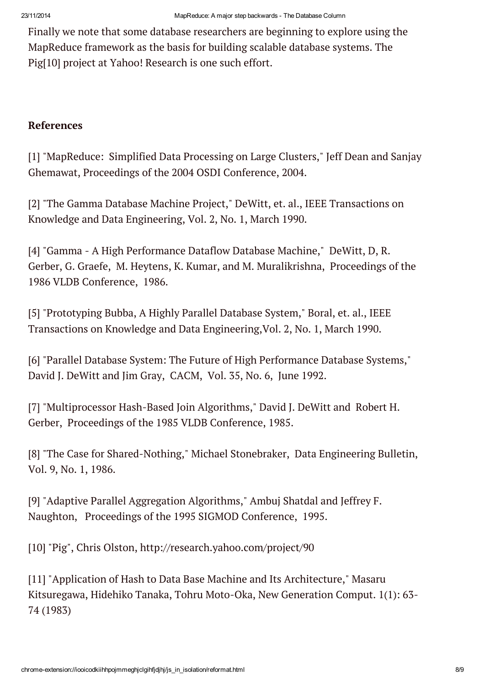Finally we note that some database researchers are beginning to explore using the MapReduce framework as the basis for building scalable database systems. The Pig[10] project at Yahoo! Research is one such effort.

#### References

[1] "MapReduce: Simplified Data Processing on Large Clusters," Jeff Dean and Sanjay Ghemawat, Proceedings of the 2004 OSDI Conference, 2004.

[2] "The Gamma Database Machine Project," DeWitt, et. al., IEEE Transactions on Knowledge and Data Engineering, Vol. 2, No. 1, March 1990.

[4] "Gamma - A High Performance Dataflow Database Machine," DeWitt, D, R. Gerber, G. Graefe, M. Heytens, K. Kumar, and M. Muralikrishna, Proceedings of the 1986 VLDB Conference, 1986.

[5] "Prototyping Bubba, A Highly Parallel Database System," Boral, et. al., IEEE Transactions on Knowledge and Data Engineering,Vol. 2, No. 1, March 1990.

[6] "Parallel Database System: The Future of High Performance Database Systems," David J. DeWitt and Jim Gray, CACM, Vol. 35, No. 6, June 1992.

[7] "Multiprocessor Hash-Based Join Algorithms," David J. DeWitt and Robert H. Gerber, Proceedings of the 1985 VLDB Conference, 1985.

[8] "The Case for Shared-Nothing," Michael Stonebraker, Data Engineering Bulletin, Vol. 9, No. 1, 1986.

[9] "Adaptive Parallel Aggregation Algorithms," Ambuj Shatdal and Jeffrey F. Naughton, Proceedings of the 1995 SIGMOD Conference, 1995.

[10] "Pig", Chris Olston, http://research.yahoo.com/project/90

[11] "Application of Hash to Data Base Machine and Its Architecture," Masaru Kitsuregawa, Hidehiko Tanaka, Tohru Moto-Oka, New Generation Comput. 1(1): 63- 74 (1983)